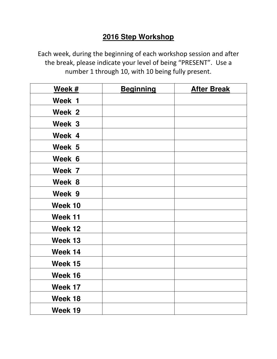# **2016 Step Workshop**

Each week, during the beginning of each workshop session and after the break, please indicate your level of being "PRESENT". Use a number 1 through 10, with 10 being fully present.

| Week #  | <b>Beginning</b> | <b>After Break</b> |
|---------|------------------|--------------------|
| Week 1  |                  |                    |
| Week 2  |                  |                    |
| Week 3  |                  |                    |
| Week 4  |                  |                    |
| Week 5  |                  |                    |
| Week 6  |                  |                    |
| Week 7  |                  |                    |
| Week 8  |                  |                    |
| Week 9  |                  |                    |
| Week 10 |                  |                    |
| Week 11 |                  |                    |
| Week 12 |                  |                    |
| Week 13 |                  |                    |
| Week 14 |                  |                    |
| Week 15 |                  |                    |
| Week 16 |                  |                    |
| Week 17 |                  |                    |
| Week 18 |                  |                    |
| Week 19 |                  |                    |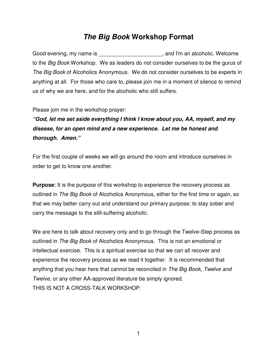## **The Big Book Workshop Format**

Good evening, my name is \_\_\_\_\_\_\_\_\_\_\_\_\_\_\_\_\_\_\_\_\_\_\_, and I'm an alcoholic. Welcome to the Big Book Workshop. We as leaders do not consider ourselves to be the gurus of The Big Book of Alcoholics Anonymous. We do not consider ourselves to be experts in anything at all. For those who care to, please join me in a moment of silence to remind us of why we are here, and for the alcoholic who still suffers.

Please join me in the workshop prayer:

**"God, let me set aside everything I think I know about you, AA, myself, and my disease, for an open mind and a new experience. Let me be honest and thorough. Amen."** 

For the first couple of weeks we will go around the room and introduce ourselves in order to get to know one another.

**Purpose**: It is the purpose of this workshop to experience the recovery process as outlined in The Big Book of Alcoholics Anonymous, either for the first time or again, so that we may better carry out and understand our primary purpose; to stay sober and carry the message to the still-suffering alcoholic.

We are here to talk about recovery only and to go through the Twelve-Step process as outlined in The Big Book of Alcoholics Anonymous. This is not an emotional or intellectual exercise. This is a spiritual exercise so that we can all recover and experience the recovery process as we read it together. It is recommended that anything that you hear here that cannot be reconciled in The Big Book, Twelve and Twelve, or any other AA-approved literature be simply ignored. THIS IS NOT A CROSS-TALK WORKSHOP.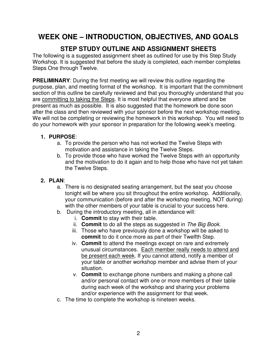# **WEEK ONE – INTRODUCTION, OBJECTIVES, AND GOALS**

## **STEP STUDY OUTLINE AND ASSIGNMENT SHEETS**

The following is a suggested assignment sheet as outlined for use by this Step Study Workshop. It is suggested that before the study is completed, each member completes Steps One through Twelve.

**PRELIMINARY:** During the first meeting we will review this outline regarding the purpose, plan, and meeting format of the workshop. It is important that the commitment section of this outline be carefully reviewed and that you thoroughly understand that you are committing to taking the Steps. It is most helpful that everyone attend and be present as much as possible. It is also suggested that the homework be done soon after the class and then reviewed with your sponsor before the next workshop meeting. We will not be completing or reviewing the homework in this workshop. You will need to do your homework with your sponsor in preparation for the following week's meeting.

#### **1. PURPOSE**:

- a. To provide the person who has not worked the Twelve Steps with motivation and assistance in taking the Twelve Steps.
- b. To provide those who have worked the Twelve Steps with an opportunity and the motivation to do it again and to help those who have not yet taken the Twelve Steps.

#### **2. PLAN**:

- a. There is no designated seating arrangement, but the seat you choose tonight will be where you sit throughout the entire workshop. Additionally, your communication (before and after the workshop meeting, NOT during) with the other members of your table is crucial to your success here.
- b. During the introductory meeting, all in attendance will:
	- i. **Commit** to stay with their table.
	- ii. **Commit** to do all the steps as suggested in The Big Book.
	- iii. Those who have previously done a workshop will be asked to **commit** to do it once more as part of their Twelfth Step.
	- iv. **Commit** to attend the meetings except on rare and extremely unusual circumstances. Each member really needs to attend and be present each week. If you cannot attend, notify a member of your table or another workshop member and advise them of your situation.
	- v. **Commit** to exchange phone numbers and making a phone call and/or personal contact with one or more members of their table during each week of the workshop and sharing your problems and/or experience with the assignment for that week.
- c. The time to complete the workshop is nineteen weeks.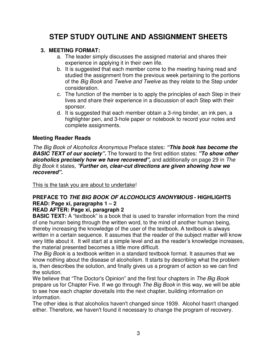# **STEP STUDY OUTLINE AND ASSIGNMENT SHEETS**

#### **3. MEETING FORMAT:**

- a. The leader simply discusses the assigned material and shares their experience in applying it in their own life.
- b. It is suggested that each member come to the meeting having read and studied the assignment from the previous week pertaining to the portions of the Big Book and Twelve and Twelve as they relate to the Step under consideration.
- c. The function of the member is to apply the principles of each Step in their lives and share their experience in a discussion of each Step with their sponsor.
- d. It is suggested that each member obtain a 3-ring binder, an ink pen, a highlighter pen, and 3-hole paper or notebook to record your notes and complete assignments.

#### **Meeting Reader Reads**

The Big Book of Alcoholics Anonymous Preface states: **"This book has become the BASIC TEXT of our society".** The forward to the first edition states: **"To show other alcoholics precisely how we have recovered",** and additionally on page 29 in The Big Book it states, "**Further on, clear-cut directions are given showing how we recovered".**

This is the task you are about to undertake!

### **PREFACE TO THE BIG BOOK OF ALCOHOLICS ANONYMOUS - HIGHLIGHTS READ: Page xi, paragraphs 1 – 2**

#### **READ AFTER: Page xi, paragraph 2**

**BASIC TEXT:** A "textbook" is a book that is used to transfer information from the mind of one human being through the written word, to the mind of another human being, thereby increasing the knowledge of the user of the textbook. A textbook is always written in a certain sequence. It assumes that the reader of the subject matter will know very little about it. It will start at a simple level and as the reader's knowledge increases, the material presented becomes a little more difficult.

The Big Book is a textbook written in a standard textbook format. It assumes that we know nothing about the disease of alcoholism. It starts by describing what the problem is, then describes the solution, and finally gives us a program of action so we can find the solution.

We believe that "The Doctor's Opinion" and the first four chapters in The Big Book prepare us for Chapter Five. If we go through The Big Book in this way, we will be able to see how each chapter dovetails into the next chapter, building information on information.

The other idea is that alcoholics haven't changed since 1939. Alcohol hasn't changed either. Therefore, we haven't found it necessary to change the program of recovery.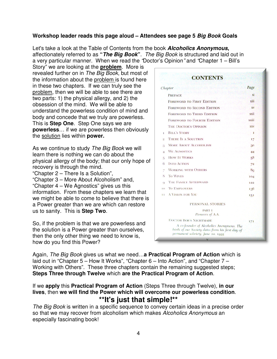#### **Workshop leader reads this page aloud – Attendees see page 5 Big Book Goals**

Let's take a look at the Table of Contents from the book **Alcoholics Anonymous,** affectionately referred to as **"The Big Book"**. The Big Book is structured and laid out in a very particular manner. When we read the "Doctor's Opinion" and "Chapter 1 – Bill's

Story" we are looking at the **problem**. More is revealed further on in The Big Book, but most of the information about the problem is found here in these two chapters. If we can truly see the problem, then we will be able to see there are two parts: 1) the physical allergy, and 2) the obsession of the mind. We will be able to understand the powerless condition of mind and body and concede that we truly are powerless. This is **Step One**. Step One says we are **powerless**… if we are powerless then obviously the solution lies within **power.**

As we continue to study The Big Book we will learn there is nothing we can do about the physical allergy of the body; that our only hope of recovery is through the mind.

"Chapter 2 – There Is a Solution",

"Chapter 3 – More About Alcoholism" and, "Chapter 4 – We Agnostics" gives us this information. From these chapters we learn that we might be able to come to believe that there is a Power greater than we are which can restore us to sanity. This is **Step Two**.

So, if the problem is that we are powerless and the solution is a Power greater than ourselves, then the only other thing we need to know is, how do you find this Power?

|                | <b>CONTENTS</b>                                                                                                                     |              |
|----------------|-------------------------------------------------------------------------------------------------------------------------------------|--------------|
| Chapter        |                                                                                                                                     | Page         |
|                | <b>PREFACE</b>                                                                                                                      | xi           |
|                | <b>FOREWORD TO FIRST EDITION</b>                                                                                                    | xiii         |
|                | <b>FOREWORD TO SECOND EDITION</b>                                                                                                   | <b>XV</b>    |
|                | <b>FOREWORD TO THIRD EDITION</b>                                                                                                    | xxii         |
|                | <b>FOREWORD TO FOURTH EDITION</b>                                                                                                   | xxiii        |
|                | <b>THE DOCTOR'S OPINION</b>                                                                                                         | <b>XXV</b>   |
| T.             | <b>BILL'S STORY</b>                                                                                                                 | $\mathbf{1}$ |
| $\overline{2}$ | <b>THERE IS A SOLUTION</b>                                                                                                          | 17           |
| з              | <b>MORE ABOUT ALCOHOLISM</b>                                                                                                        | 30           |
| 4              | <b>WE AGNOSTICS</b>                                                                                                                 | 44           |
| 5              | <b>HOW IT WORKS</b>                                                                                                                 | 58           |
| 6              | <b>INTO ACTION</b>                                                                                                                  | 72           |
| 7              | <b>WORKING WITH OTHERS</b>                                                                                                          | 89           |
| 8              | <b>TO WIVES</b>                                                                                                                     | 104          |
| Q              | THE FAMILY AFTERWARD                                                                                                                | 122          |
| 10             | <b>TO EMPLOYERS</b>                                                                                                                 | 136          |
| 11             | <b>A VISION FOR YOU</b>                                                                                                             | 151          |
|                | PERSONAL STORIES                                                                                                                    |              |
|                | <b>PART I</b><br>Pioneers of A.A.                                                                                                   |              |
|                | <b>DOCTOR BOB'S NIGHTMARE</b>                                                                                                       | 171          |
|                | A co-founder of Alcoholics Anonymous. The<br>birth of our Society dates from his first day of<br>permanent sobriety, June 10, 1935. |              |

Again, The Big Book gives us what we need…**a Practical Program of Action** which is laid out in "Chapter 5 – How It Works", "Chapter 6 – Into Action", and "Chapter 7 – Working with Others". These three chapters contain the remaining suggested steps; **Steps Three through Twelve** which **are the Practical Program of Action**.

#### If we **apply** this **Practical Program of Action** (Steps Three through Twelve), **in our lives**, then **we will find the Power which will overcome our powerless condition**. **\*\*It's just that simple!\*\***

The Big Book is written in a specific sequence to convey certain ideas in a precise order so that we may recover from alcoholism which makes Alcoholics Anonymous an especially fascinating book!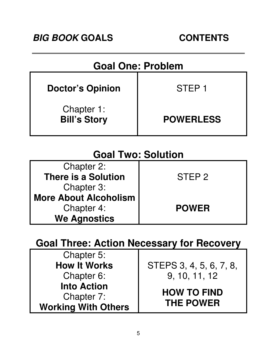| <b>Goal One: Problem</b>          |                   |  |
|-----------------------------------|-------------------|--|
| <b>Doctor's Opinion</b>           | STEP <sub>1</sub> |  |
| Chapter 1:<br><b>Bill's Story</b> | <b>POWERLESS</b>  |  |

# **Goal Two: Solution**

| Chapter 2:                 |                   |
|----------------------------|-------------------|
| <b>There is a Solution</b> | STEP <sub>2</sub> |
| Chapter 3:                 |                   |
| More About Alcoholism      |                   |
| Chapter 4:                 | <b>POWER</b>      |
| <b>We Agnostics</b>        |                   |

# **Goal Three: Action Necessary for Recovery**

| Chapter 5:                 |                         |  |
|----------------------------|-------------------------|--|
| <b>How It Works</b>        | STEPS 3, 4, 5, 6, 7, 8, |  |
| Chapter 6:                 | 9, 10, 11, 12           |  |
| <b>Into Action</b>         |                         |  |
| Chapter 7:                 | <b>HOW TO FIND</b>      |  |
| <b>Working With Others</b> | <b>THE POWER</b>        |  |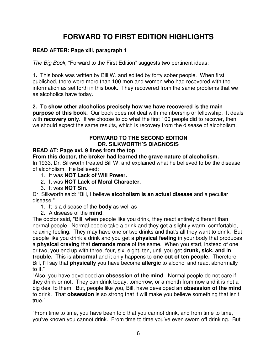# **FORWARD TO FIRST EDITION HIGHLIGHTS**

#### **READ AFTER: Page xiii, paragraph 1**

The Big Book, "Forward to the First Edition" suggests two pertinent ideas:

**1.** This book was written by Bill W. and edited by forty sober people.When first published, there were more than 100 men and women who had recovered with the information as set forth in this book. They recovered from the same problems that we as alcoholics have today.

**2. To show other alcoholics precisely how we have recovered is the main purpose of this book.** Our book does not deal with membership or fellowship. It deals with **recovery only**. If we choose to do what the first 100 people did to recover, then we should expect the same results, which is recovery from the disease of alcoholism.

#### **FORWARD TO THE SECOND EDITION DR. SILKWORTH'S DIAGNOSIS**

#### **READ AT: Page xvi, 9 lines from the top**

**From this doctor, the broker had learned the grave nature of alcoholism.** 

In 1933, Dr. Silkworth treated Bill W. and explained what he believed to be the disease of alcoholism. He believed:

- 1. It was **NOT Lack of Will Power.**
- 2. It was **NOT Lack of Moral Character.**
- 3. It was **NOT Sin.**

Dr. Silkworth said: "Bill, I believe **alcoholism is an actual disease** and a peculiar disease."

- 1. It is a disease of the **body** as well as
- 2. A disease of the **mind**.

The doctor said, "Bill, when people like you drink, they react entirely different than normal people. Normal people take a drink and they get a slightly warm, comfortable, relaxing feeling. They may have one or two drinks and that's all they want to drink. But people like you drink a drink and you get a **physical feeling** in your body that produces a **physical craving** that **demands more** of the same. When you start, instead of one or two, you end up with three, four, six, eight, ten, until you get **drunk, sick, and in trouble.** This is **abnormal** and it only happens to **one out of ten people.** Therefore Bill, I'll say that **physically** you have become **allergic** to alcohol and react abnormally to it."

"Also, you have developed an **obsession of the mind**. Normal people do not care if they drink or not. They can drink today, tomorrow, or a month from now and it is not a big deal to them. But, people like you, Bill, have developed an **obsession of the mind** to drink. That **obsession** is so strong that it will make you believe something that isn't true."

"From time to time, you have been told that you cannot drink, and from time to time, you've known you cannot drink. From time to time you've even sworn off drinking. But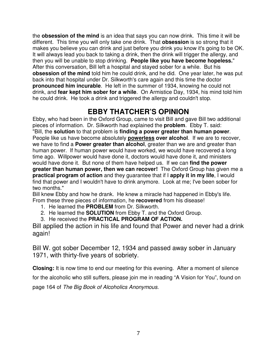the **obsession of the mind** is an idea that says you can now drink. This time it will be different. This time you will only take one drink. That **obsession** is so strong that it makes you believe you can drink and just before you drink you know it's going to be OK. It will always lead you back to taking a drink, then the drink will trigger the allergy, and then you will be unable to stop drinking. **People like you have become hopeless.**" After this conversation, Bill left a hospital and stayed sober for a while. But his **obsession of the mind** told him he could drink, and he did. One year later, he was put back into that hospital under Dr. Silkworth's care again and this time the doctor **pronounced him incurable**. He left in the summer of 1934, knowing he could not drink, and **fear kept him sober for a while**. On Armistice Day, 1934, his mind told him he could drink. He took a drink and triggered the allergy and couldn't stop.

# **EBBY THATCHER'S OPINION**

Ebby, who had been in the Oxford Group, came to visit Bill and gave Bill two additional pieces of information. Dr. Silkworth had explained the **problem**. Ebby T. said: "Bill, the **solution** to that problem is **finding a power greater than human power**. People like us have become absolutely **powerless over alcohol**. If we are to recover, we have to find a **Power greater than alcohol**, greater than we are and greater than human power. If human power would have worked, we would have recovered a long time ago. Willpower would have done it, doctors would have done it, and ministers would have done it. But none of them have helped us. If we can **find the power greater than human power, then we can recover!** The Oxford Group has given me a **practical program of action** and they guarantee that if I **apply it in my life**, I would find that power and I wouldn't have to drink anymore. Look at me; I've been sober for two months."

Bill knew Ebby and how he drank. He knew a miracle had happened in Ebby's life. From these three pieces of information, he **recovered** from his disease!

- 1. He learned the **PROBLEM** from Dr. Silkworth.
- 2. He learned the **SOLUTION** from Ebby T. and the Oxford Group.
- 3. He received the **PRACTICAL PROGRAM OF ACTION.**

Bill applied the action in his life and found that Power and never had a drink again!

Bill W. got sober December 12, 1934 and passed away sober in January 1971, with thirty-five years of sobriety.

**Closing:** It is now time to end our meeting for this evening. After a moment of silence for the alcoholic who still suffers, please join me in reading "A Vision for You", found on page 164 of The Big Book of Alcoholics Anonymous.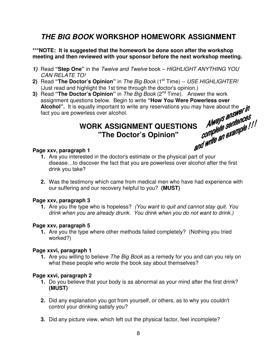# **THE BIG BOOK WORKSHOP HOMEWORK ASSIGNMENT**

#### **\*\*\*NOTE: It is suggested that the homework be done soon after the workshop meeting and then reviewed with your sponsor before the next workshop meeting.**

- **1)** Read **"Step One"** in the Twelve and Twelve book HIGHLIGHT ANYTHING YOU CAN RELATE TO!
- **2)** Read "The Doctor's Opinion" in The Big Book (1<sup>st</sup> Time) -- USE HIGHLIGHTER! (Just read and highlight the 1st time through the doctor's opinion.)
- **3)** Read "The Doctor's Opinion" in The Big Book (2<sup>nd</sup> Time). Answer the work assignment questions below. Begin to write "**How You Were Powerless over Alcohol**". It is equally important to write any reservations you may have about the fact you are powerless over alcohol.<br> **WODK ACCE Alcohol".** It is equally important to write any reservations you may have about the fact you are powerless over alcohol.

# **WORK ASSIGNMENT QUESTIONS** Always answered the UCBS Container with the Doctor's Opinion" and the sention of the UCBS Container to the Doctor's Opinion" and the sention of the UCBS Container to the Doctor's Opinion" and th **"The Doctor's Opinion"**

#### **Page xxv, paragraph 1**

- **1.** Are you interested in the doctor's estimate or the physical part of your disease…to discover the fact that you are powerless over alcohol after the first drink you take?
- **2.** Was the testimony which came from medical men who have had experience with our suffering and our recovery helpful to you? **(MUST)**

#### **Page xxv, paragraph 3**

**1.** Are you the type who is hopeless? (You want to quit and cannot stay quit. You drink when you are already drunk. You drink when you do not want to drink.)

#### **Page xxv, paragraph 5**

**1.** Are you the type where other methods failed completely? (Nothing you tried worked?)

#### **Page xxvi, paragraph 1**

**1.** Are you willing to believe The Big Book as a remedy for you and can you rely on what these people who wrote the book say about themselves?

#### **Page xxvi, paragraph 2**

- **1.** Do you believe that your body is as abnormal as your mind after the first drink? **(MUST)**
- **2.** Did any explanation you got from yourself, or others, as to why you couldn't control your drinking satisfy you?
- **3.** Did any picture view, which left out the physical factor, feel incomplete?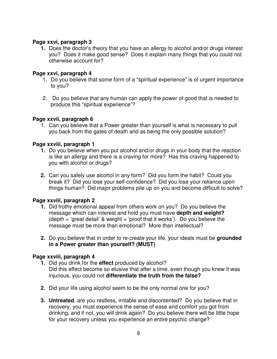#### **Page xxvi, paragraph 3**

**1.** Does the doctor's theory that you have an allergy to alcohol and/or drugs interest you? Does it make good sense? Does it explain many things that you could not otherwise account for?

#### **Page xxvi, paragraph 4**

- 1. Do you believe that some form of a "spiritual experience" is of urgent importance to you?
- 2. Do you believe that any human can apply the power of good that is needed to produce this "spiritual experience"?

#### **Page xxvii, paragraph 6**

1. Can you believe that a Power greater than yourself is what is necessary to pull you back from the gates of death and as being the only possible solution?

#### **Page xxviii, paragraph 1**

- **1.** Do you believe when you put alcohol and/or drugs in your body that the reaction is like an allergy and there is a craving for more? Has this craving happened to you with alcohol or drugs?
- **2.** Can you safely use alcohol in any form? Did you form the habit? Could you break it? Did you lose your self-confidence? Did you lose your reliance upon things human? Did major problems pile up on you and become difficult to solve?

#### **Page xxviii, paragraph 2**

- **1.** Did frothy emotional appeal from others work on you? Do you believe the message which can interest and hold you must have **depth and weight?**  (depth = 'great detail' & weight = 'proof that it works'). Do you believe the message must be more than emotional? More than intellectual?
- **2.** Do you believe that in order to re-create your life, your ideals must be **grounded in a Power greater than yourself? (MUST)**

#### **Page xxviii, paragraph 4**

- **1.** Did you drink for the **effect** produced by alcohol? Did this effect become so elusive that after a time, even though you knew it was injurious, you could not **differentiate the truth from the false?**
- **2.** Did your life using alcohol seem to be the only normal one for you?
- **3. Untreated**, are you restless, irritable and discontented? Do you believe that in recovery, you must experience the sense of ease and comfort you got from drinking, and if not, you will drink again? Do you believe there will be little hope for your recovery unless you experience an entire psychic change?